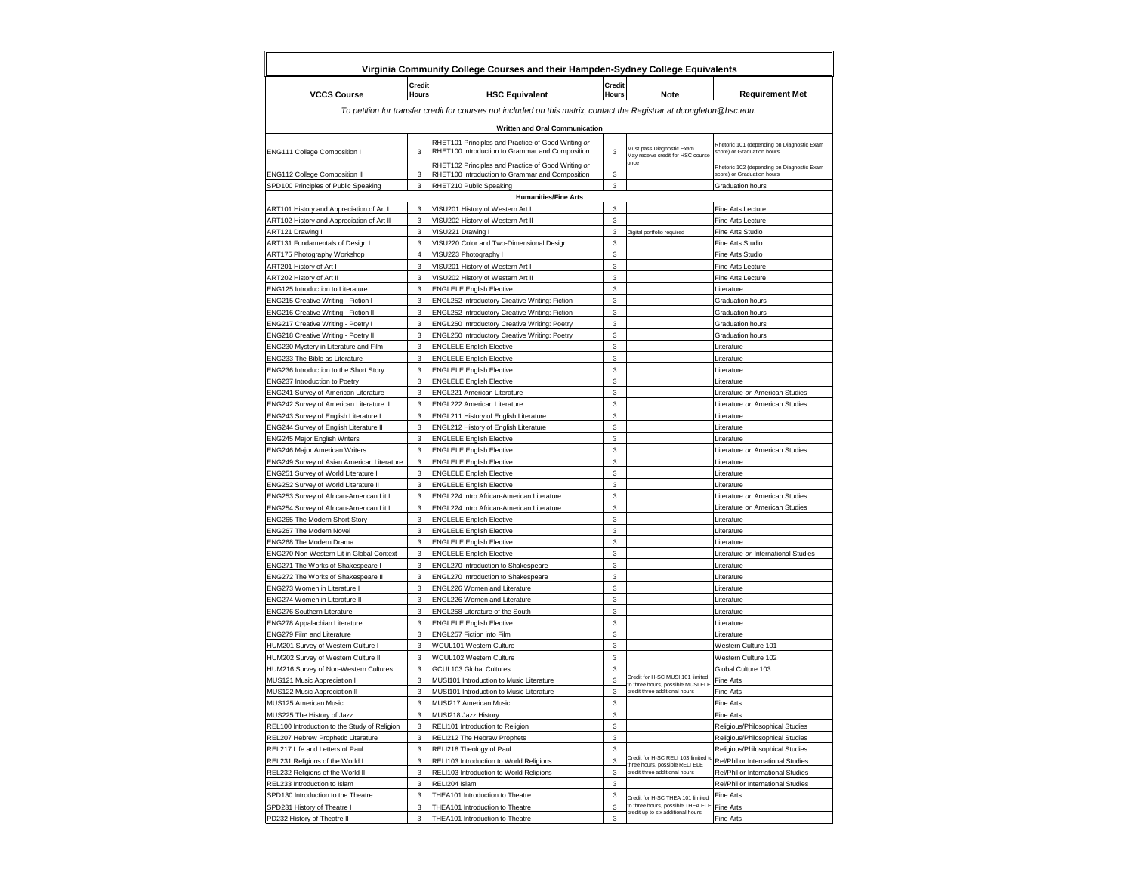|                                                                                               |                               | Virginia Community College Courses and their Hampden-Sydney College Equivalents                                        |                               |                                                                       |                                                                          |  |  |  |
|-----------------------------------------------------------------------------------------------|-------------------------------|------------------------------------------------------------------------------------------------------------------------|-------------------------------|-----------------------------------------------------------------------|--------------------------------------------------------------------------|--|--|--|
| <b>VCCS Course</b>                                                                            | <b>Credit</b><br><b>Hours</b> | <b>HSC Equivalent</b>                                                                                                  | <b>Credit</b><br><b>Hours</b> | <b>Note</b>                                                           | <b>Requirement Met</b>                                                   |  |  |  |
|                                                                                               |                               | To petition for transfer credit for courses not included on this matrix, contact the Registrar at dcongleton @hsc.edu. |                               |                                                                       |                                                                          |  |  |  |
|                                                                                               |                               |                                                                                                                        |                               |                                                                       |                                                                          |  |  |  |
| <b>Written and Oral Communication</b>                                                         |                               |                                                                                                                        |                               |                                                                       |                                                                          |  |  |  |
| <b>ENG111 College Composition I</b>                                                           | 3                             | RHET101 Principles and Practice of Good Writing or<br>RHET100 Introduction to Grammar and Composition                  | 3                             | Must pass Diagnostic Exam<br>May receive credit for HSC course        | Rhetoric 101 (depending on Diagnostic Exam<br>score) or Graduation hours |  |  |  |
| <b>ENG112 College Composition II</b>                                                          | 3                             | RHET102 Principles and Practice of Good Writing or<br>RHET100 Introduction to Grammar and Composition                  | 3                             | once                                                                  | Rhetoric 102 (depending on Diagnostic Exam<br>score) or Graduation hours |  |  |  |
| SPD100 Principles of Public Speaking                                                          | 3                             | RHET210 Public Speaking                                                                                                | 3                             |                                                                       | <b>Graduation hours</b>                                                  |  |  |  |
|                                                                                               |                               | <b>Humanities/Fine Arts</b>                                                                                            |                               |                                                                       |                                                                          |  |  |  |
| ART101 History and Appreciation of Art I<br>ART102 History and Appreciation of Art II         | 3<br>3                        | VISU201 History of Western Art I                                                                                       | 3<br>3                        |                                                                       | Fine Arts Lecture<br><b>Fine Arts Lecture</b>                            |  |  |  |
| ART121 Drawing I                                                                              | 3                             | VISU202 History of Western Art II<br>VISU221 Drawing I                                                                 | 3                             | Digital portfolio required                                            | <b>Fine Arts Studio</b>                                                  |  |  |  |
| ART131 Fundamentals of Design I                                                               | 3                             | VISU220 Color and Two-Dimensional Design                                                                               | $\mathfrak{S}$                |                                                                       | <b>Fine Arts Studio</b>                                                  |  |  |  |
| <b>ART175 Photography Workshop</b>                                                            | 4                             | VISU223 Photography I                                                                                                  | 3                             |                                                                       | Fine Arts Studio                                                         |  |  |  |
| ART201 History of Art I                                                                       | 3                             | VISU201 History of Western Art I                                                                                       | 3                             |                                                                       | <b>Fine Arts Lecture</b>                                                 |  |  |  |
| ART202 History of Art II                                                                      | 3                             | VISU202 History of Western Art II                                                                                      | 3                             |                                                                       | <b>Fine Arts Lecture</b>                                                 |  |  |  |
| <b>ENG125 Introduction to Literature</b>                                                      | 3                             | <b>ENGLELE English Elective</b>                                                                                        | 3                             |                                                                       | Literature                                                               |  |  |  |
| <b>ENG215 Creative Writing - Fiction I</b>                                                    | 3                             | <b>ENGL252 Introductory Creative Writing: Fiction</b>                                                                  | 3                             |                                                                       | <b>Graduation hours</b>                                                  |  |  |  |
| <b>ENG216 Creative Writing - Fiction II</b>                                                   | 3                             | ENGL252 Introductory Creative Writing: Fiction                                                                         | 3                             |                                                                       | <b>Graduation hours</b>                                                  |  |  |  |
| <b>ENG217 Creative Writing - Poetry I</b>                                                     | 3                             | <b>ENGL250 Introductory Creative Writing: Poetry</b>                                                                   | 3                             |                                                                       | <b>Graduation hours</b>                                                  |  |  |  |
| <b>ENG218 Creative Writing - Poetry II</b>                                                    | 3                             | ENGL250 Introductory Creative Writing: Poetry                                                                          | 3                             |                                                                       | <b>Graduation hours</b>                                                  |  |  |  |
| <b>ENG230 Mystery in Literature and Film</b>                                                  | 3                             | <b>ENGLELE English Elective</b>                                                                                        | 3                             |                                                                       | Literature                                                               |  |  |  |
| <b>ENG233 The Bible as Literature</b>                                                         | 3                             | <b>ENGLELE English Elective</b>                                                                                        | 3                             |                                                                       | Literature                                                               |  |  |  |
| <b>ENG236 Introduction to the Short Story</b>                                                 | 3                             | <b>ENGLELE English Elective</b>                                                                                        | 3                             |                                                                       | Literature                                                               |  |  |  |
| <b>ENG237 Introduction to Poetry</b>                                                          | 3                             | <b>ENGLELE English Elective</b>                                                                                        | 3                             |                                                                       | Literature                                                               |  |  |  |
| <b>ENG241 Survey of American Literature I</b>                                                 | 3                             | <b>ENGL221 American Literature</b>                                                                                     | 3                             |                                                                       | Literature or American Studies                                           |  |  |  |
| <b>ENG242 Survey of American Literature II</b>                                                | 3                             | <b>ENGL222 American Literature</b>                                                                                     | $\mathfrak{S}$                |                                                                       | Literature or American Studies                                           |  |  |  |
| <b>ENG243 Survey of English Literature I</b><br><b>ENG244 Survey of English Literature II</b> | 3<br>3                        | <b>ENGL211 History of English Literature</b><br><b>ENGL212 History of English Literature</b>                           | 3<br>3                        |                                                                       | Literature<br>Literature                                                 |  |  |  |
| <b>ENG245 Major English Writers</b>                                                           | 3                             | <b>ENGLELE English Elective</b>                                                                                        | 3                             |                                                                       | Literature                                                               |  |  |  |
| <b>ENG246 Major American Writers</b>                                                          | 3                             | <b>ENGLELE English Elective</b>                                                                                        | 3                             |                                                                       | Literature or American Studies                                           |  |  |  |
| <b>ENG249 Survey of Asian American Literature</b>                                             | 3                             | <b>ENGLELE English Elective</b>                                                                                        | $\mathfrak{S}$                |                                                                       | Literature                                                               |  |  |  |
| <b>ENG251 Survey of World Literature I</b>                                                    | 3                             | <b>ENGLELE English Elective</b>                                                                                        | 3                             |                                                                       | Literature                                                               |  |  |  |
| <b>ENG252 Survey of World Literature II</b>                                                   | 3                             | <b>ENGLELE English Elective</b>                                                                                        | 3                             |                                                                       | Literature                                                               |  |  |  |
| <b>ENG253 Survey of African-American Lit I</b>                                                | 3                             | ENGL224 Intro African-American Literature                                                                              | 3                             |                                                                       | Literature or American Studies                                           |  |  |  |
| <b>ENG254 Survey of African-American Lit II</b>                                               | 3                             | <b>ENGL224 Intro African-American Literature</b>                                                                       | 3                             |                                                                       | Literature or American Studies                                           |  |  |  |
| <b>ENG265 The Modern Short Story</b>                                                          | 3                             | <b>ENGLELE English Elective</b>                                                                                        | $\mathfrak{S}$                |                                                                       | Literature                                                               |  |  |  |
| <b>ENG267 The Modern Novel</b>                                                                | 3                             | <b>ENGLELE English Elective</b>                                                                                        | 3                             |                                                                       | Literature                                                               |  |  |  |
| <b>ENG268 The Modern Drama</b>                                                                | 3                             | <b>ENGLELE English Elective</b>                                                                                        | 3                             |                                                                       | Literature                                                               |  |  |  |
| <b>ENG270 Non-Western Lit in Global Context</b>                                               | 3                             | <b>ENGLELE English Elective</b>                                                                                        | 3                             |                                                                       | Literature or International Studies                                      |  |  |  |
| <b>ENG271 The Works of Shakespeare I</b>                                                      | 3                             | <b>ENGL270 Introduction to Shakespeare</b>                                                                             | 3                             |                                                                       | Literature                                                               |  |  |  |
| <b>ENG272 The Works of Shakespeare II</b>                                                     | 3                             | <b>ENGL270 Introduction to Shakespeare</b>                                                                             | $\mathfrak{S}$                |                                                                       | Literature                                                               |  |  |  |
| <b>ENG273 Women in Literature I</b>                                                           | 3                             | <b>ENGL226 Women and Literature</b>                                                                                    | 3                             |                                                                       | Literature                                                               |  |  |  |
| <b>ENG274 Women in Literature II</b><br><b>ENG276 Southern Literature</b>                     | 3<br>3                        | <b>ENGL226 Women and Literature</b><br>ENGL258 Literature of the South                                                 | 3<br>3                        |                                                                       | Literature                                                               |  |  |  |
| <b>ENG278 Appalachian Literature</b>                                                          | 3                             | <b>ENGLELE English Elective</b>                                                                                        | 3                             |                                                                       | Literature<br>Literature                                                 |  |  |  |
| <b>ENG279 Film and Literature</b>                                                             | 3                             | <b>ENGL257 Fiction into Film</b>                                                                                       | 3                             |                                                                       | Literature                                                               |  |  |  |
| HUM201 Survey of Western Culture I                                                            | 3                             | <b>WCUL101 Western Culture</b>                                                                                         | 3                             |                                                                       | Western Culture 101                                                      |  |  |  |
| HUM202 Survey of Western Culture II                                                           | 3                             | <b>WCUL102 Western Culture</b>                                                                                         | 3                             |                                                                       | Western Culture 102                                                      |  |  |  |
| HUM216 Survey of Non-Western Cultures                                                         | 3                             | <b>GCUL103 Global Cultures</b>                                                                                         | 3                             |                                                                       | Global Culture 103                                                       |  |  |  |
| MUS121 Music Appreciation I                                                                   | 3                             | MUSI101 Introduction to Music Literature                                                                               | 3                             | Credit for H-SC MUSI 101 limited<br>to three hours, possible MUSI ELE | Fine Arts                                                                |  |  |  |
| MUS122 Music Appreciation II                                                                  | 3                             | MUSI101 Introduction to Music Literature                                                                               | 3                             | credit three additional hours                                         | <b>Fine Arts</b>                                                         |  |  |  |
| MUS125 American Music                                                                         | 3                             | MUSI217 American Music                                                                                                 | 3                             |                                                                       | <b>Fine Arts</b>                                                         |  |  |  |
| MUS225 The History of Jazz                                                                    | 3                             | MUSI218 Jazz History                                                                                                   | $\sqrt{3}$                    |                                                                       | <b>Fine Arts</b>                                                         |  |  |  |
| REL100 Introduction to the Study of Religion                                                  | 3                             | RELI101 Introduction to Religion                                                                                       | 3                             |                                                                       | Religious/Philosophical Studies                                          |  |  |  |
| REL207 Hebrew Prophetic Literature                                                            | $\mathbf{3}$                  | RELI212 The Hebrew Prophets                                                                                            | 3                             |                                                                       | Religious/Philosophical Studies                                          |  |  |  |
| REL217 Life and Letters of Paul                                                               | $\mathbf{3}$                  | RELI218 Theology of Paul                                                                                               | 3                             |                                                                       | Religious/Philosophical Studies                                          |  |  |  |
| REL231 Religions of the World I                                                               | 3                             | RELI103 Introduction to World Religions                                                                                | $\mathbf{3}$                  | Credit for H-SC RELI 103 limited to<br>three hours, possible RELI ELE | Rel/Phil or International Studies                                        |  |  |  |
| REL232 Religions of the World II                                                              | 3                             | <b>RELI103 Introduction to World Religions</b>                                                                         | 3                             | credit three additional hours                                         | <b>Rel/Phil or International Studies</b>                                 |  |  |  |
| REL233 Introduction to Islam                                                                  | 3                             | RELI204 Islam                                                                                                          | 3                             |                                                                       | <b>Rel/Phil or International Studies</b>                                 |  |  |  |
| SPD130 Introduction to the Theatre                                                            | 3                             | THEA101 Introduction to Theatre                                                                                        | $\sqrt{3}$                    | Credit for H-SC THEA 101 limited<br>to three hours, possible THEA ELE | <b>Fine Arts</b>                                                         |  |  |  |
| SPD231 History of Theatre I                                                                   | 3                             | THEA101 Introduction to Theatre                                                                                        | 3                             | credit up to six additional hours                                     | <b>Fine Arts</b>                                                         |  |  |  |
| PD232 History of Theatre II                                                                   | 3                             | THEA101 Introduction to Theatre                                                                                        | 3                             |                                                                       | <b>Fine Arts</b>                                                         |  |  |  |